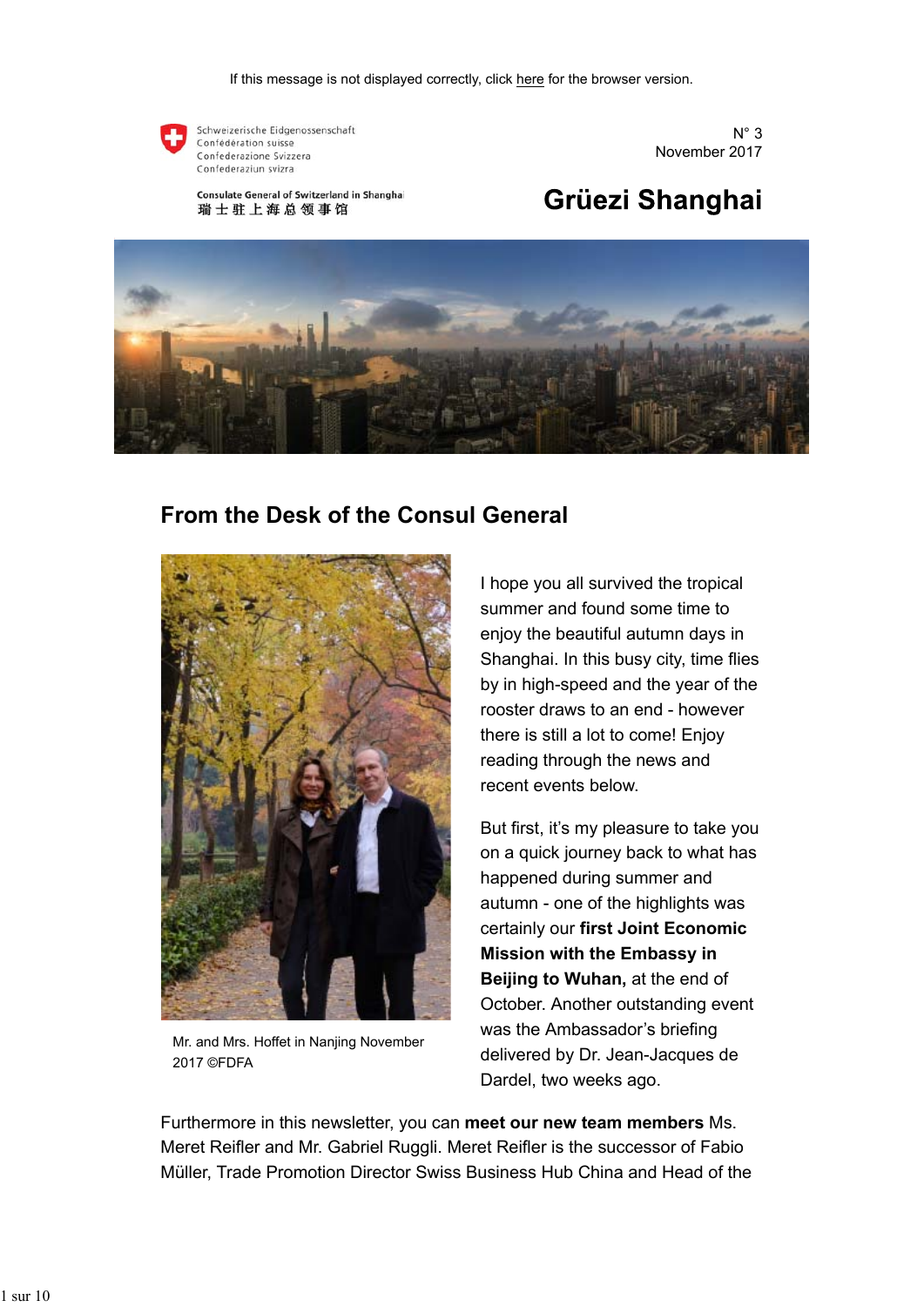

Schweizerische Eidgenossenschaft Confédération suisse Confederazione Svizzera Confederaziun svizra

Consulate General of Switzerland in Shanghai 瑞士驻上海总领事馆



# Grüezi Shanghai



### **From the Desk of the Consul General**



Mr. and Mrs. Hoffet in Nanjing November 2017 ©FDFA

I hope you all survived the tropical summer and found some time to enjoy the beautiful autumn days in Shanghai. In this busy city, time flies by in high-speed and the year of the rooster draws to an end - however there is still a lot to come! Enjoy reading through the news and recent events below.

But first, it's my pleasure to take you on a quick journey back to what has happened during summer and autumn - one of the highlights was certainly our **first Joint Economic Mission with the Embassy in Beijing to Wuhan,** at the end of October. Another outstanding event was the Ambassador's briefing delivered by Dr. Jean-Jacques de Dardel, two weeks ago.

Furthermore in this newsletter, you can **meet our new team members** Ms. Meret Reifler and Mr. Gabriel Ruggli. Meret Reifler is the successor of Fabio Müller, Trade Promotion Director Swiss Business Hub China and Head of the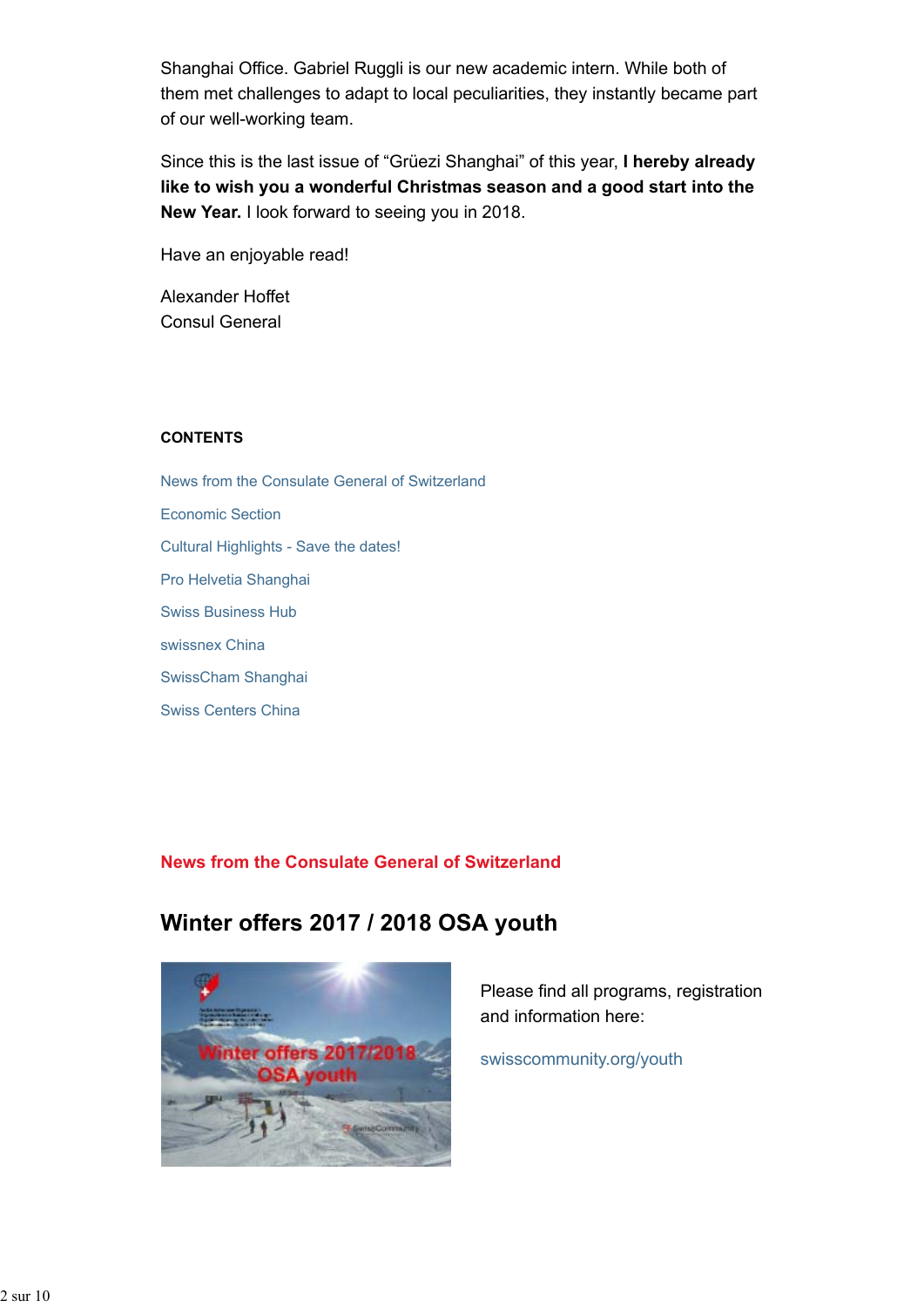Shanghai Office. Gabriel Ruggli is our new academic intern. While both of them met challenges to adapt to local peculiarities, they instantly became part of our well-working team.

Since this is the last issue of "Grüezi Shanghai" of this year, **I hereby already like to wish you a wonderful Christmas season and a good start into the New Year.** I look forward to seeing you in 2018.

Have an enjoyable read!

Alexander Hoffet Consul General

### **CONTENTS**

News from the Consulate General of Switzerland Economic Section Cultural Highlights - Save the dates! Pro Helvetia Shanghai Swiss Business Hub swissnex China SwissCham Shanghai Swiss Centers China

### **News from the Consulate General of Switzerland**

# **Winter offers 2017 / 2018 OSA youth**



Please find all programs, registration and information here:

swisscommunity.org/youth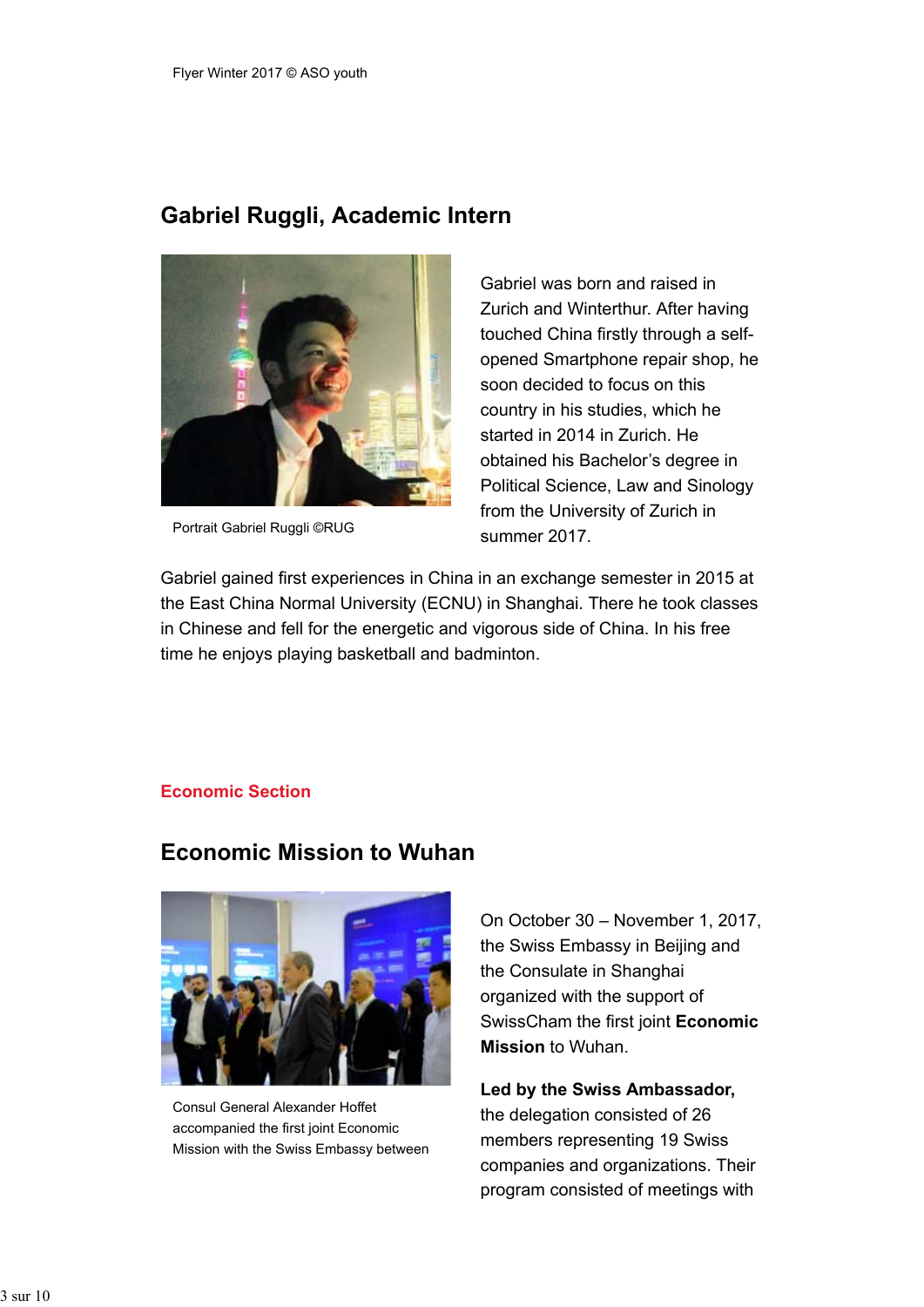### **Gabriel Ruggli, Academic Intern**



Portrait Gabriel Ruggli ©RUG

Gabriel was born and raised in Zurich and Winterthur. After having touched China firstly through a selfopened Smartphone repair shop, he soon decided to focus on this country in his studies, which he started in 2014 in Zurich. He obtained his Bachelor's degree in Political Science, Law and Sinology from the University of Zurich in summer 2017.

Gabriel gained first experiences in China in an exchange semester in 2015 at the East China Normal University (ECNU) in Shanghai. There he took classes in Chinese and fell for the energetic and vigorous side of China. In his free time he enjoys playing basketball and badminton.

### **Economic Section**

### **Economic Mission to Wuhan**



Consul General Alexander Hoffet accompanied the first joint Economic Mission with the Swiss Embassy between

On October 30 – November 1, 2017, the Swiss Embassy in Beijing and the Consulate in Shanghai organized with the support of SwissCham the first joint **Economic Mission** to Wuhan.

**Led by the Swiss Ambassador,** the delegation consisted of 26 members representing 19 Swiss companies and organizations. Their program consisted of meetings with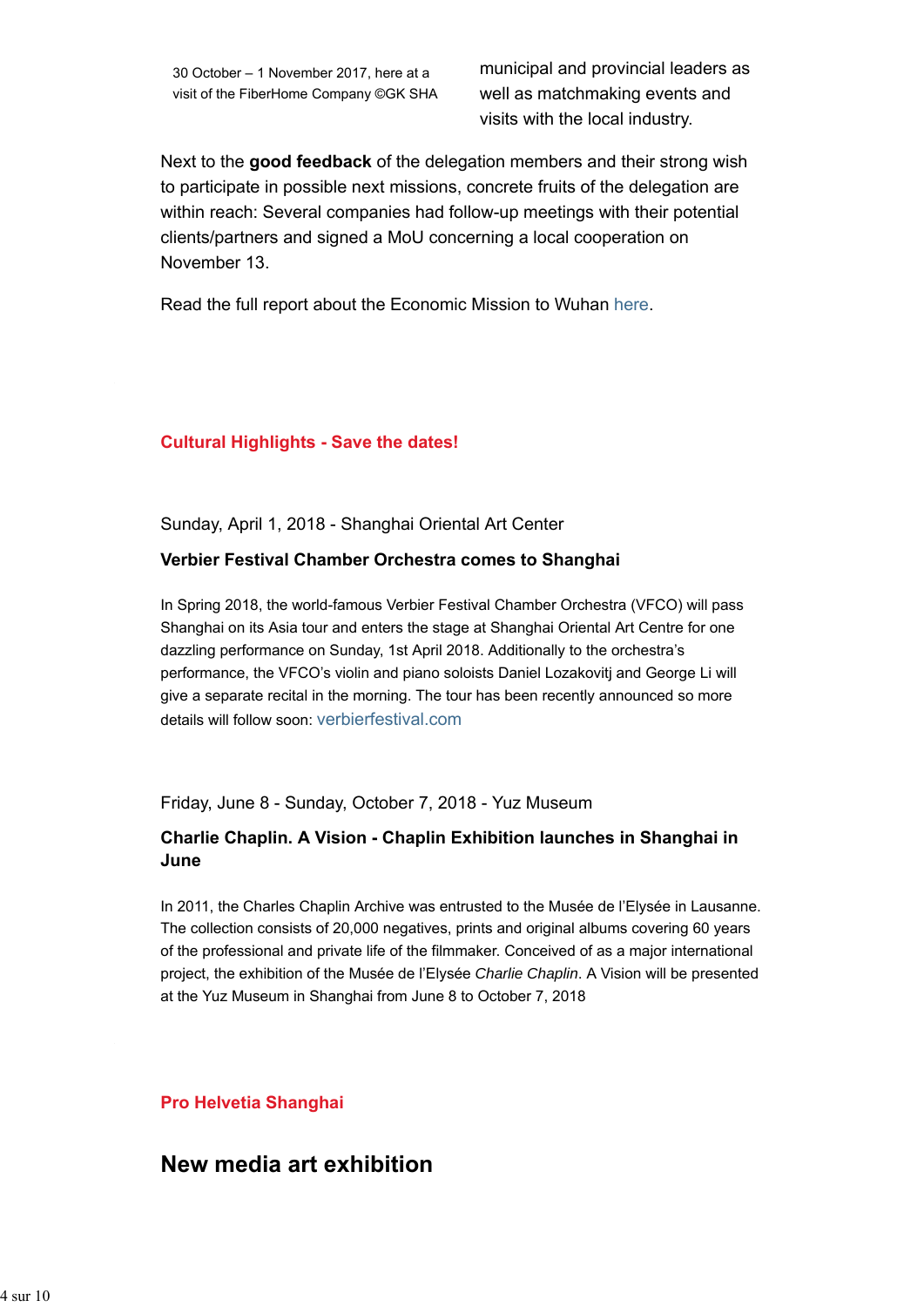30 October – 1 November 2017, here at a visit of the FiberHome Company ©GK SHA

municipal and provincial leaders as well as matchmaking events and visits with the local industry.

Next to the **good feedback** of the delegation members and their strong wish to participate in possible next missions, concrete fruits of the delegation are within reach: Several companies had follow-up meetings with their potential clients/partners and signed a MoU concerning a local cooperation on November 13.

Read the full report about the Economic Mission to Wuhan here.

#### **Cultural Highlights - Save the dates!**

Sunday, April 1, 2018 - Shanghai Oriental Art Center

#### **Verbier Festival Chamber Orchestra comes to Shanghai**

In Spring 2018, the world-famous Verbier Festival Chamber Orchestra (VFCO) will pass Shanghai on its Asia tour and enters the stage at Shanghai Oriental Art Centre for one dazzling performance on Sunday, 1st April 2018. Additionally to the orchestra's performance, the VFCO's violin and piano soloists Daniel Lozakovitj and George Li will give a separate recital in the morning. The tour has been recently announced so more details will follow soon: verbierfestival.com

Friday, June 8 - Sunday, October 7, 2018 - Yuz Museum

### **Charlie Chaplin. A Vision - Chaplin Exhibition launches in Shanghai in June**

In 2011, the Charles Chaplin Archive was entrusted to the Musée de l'Elysée in Lausanne. The collection consists of 20,000 negatives, prints and original albums covering 60 years of the professional and private life of the filmmaker. Conceived of as a major international project, the exhibition of the Musée de l'Elysée *Charlie Chaplin*. A Vision will be presented at the Yuz Museum in Shanghai from June 8 to October 7, 2018

### **Pro Helvetia Shanghai**

### **New media art exhibition**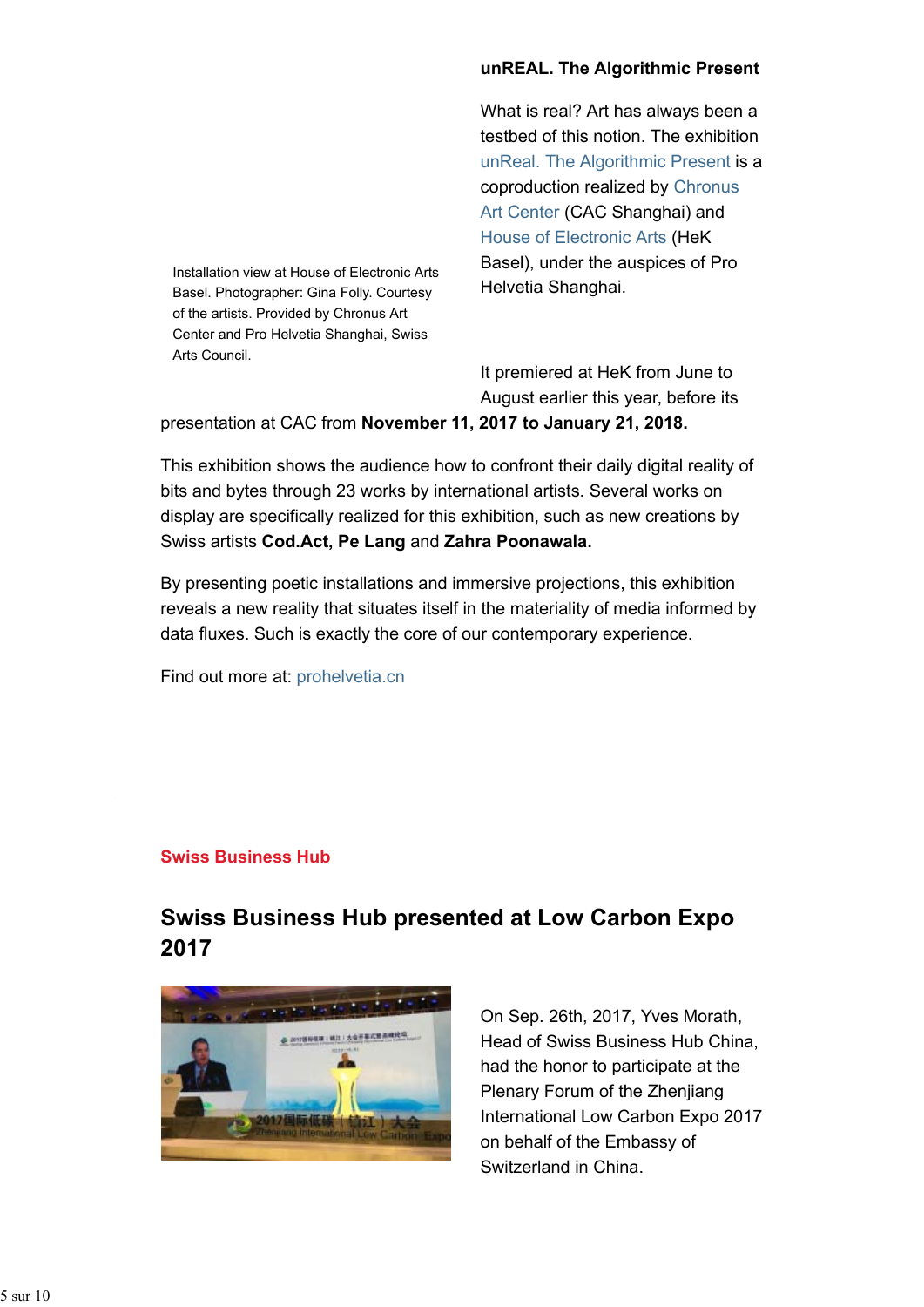Installation view at House of Electronic Arts Basel. Photographer: Gina Folly. Courtesy of the artists. Provided by Chronus Art Center and Pro Helvetia Shanghai, Swiss Arts Council.

### **unREAL. The Algorithmic Present**

What is real? Art has always been a testbed of this notion. The exhibition unReal. The Algorithmic Present is a coproduction realized by Chronus Art Center (CAC Shanghai) and House of Electronic Arts (HeK Basel), under the auspices of Pro Helvetia Shanghai.

It premiered at HeK from June to August earlier this year, before its

presentation at CAC from **November 11, 2017 to January 21, 2018.**

This exhibition shows the audience how to confront their daily digital reality of bits and bytes through 23 works by international artists. Several works on display are specifically realized for this exhibition, such as new creations by Swiss artists **Cod.Act, Pe Lang** and **Zahra Poonawala.**

By presenting poetic installations and immersive projections, this exhibition reveals a new reality that situates itself in the materiality of media informed by data fluxes. Such is exactly the core of our contemporary experience.

Find out more at: prohelvetia.cn

### **Swiss Business Hub**

# **Swiss Business Hub presented at Low Carbon Expo 2017**



On Sep. 26th, 2017, Yves Morath, Head of Swiss Business Hub China, had the honor to participate at the Plenary Forum of the Zhenjiang International Low Carbon Expo 2017 on behalf of the Embassy of Switzerland in China.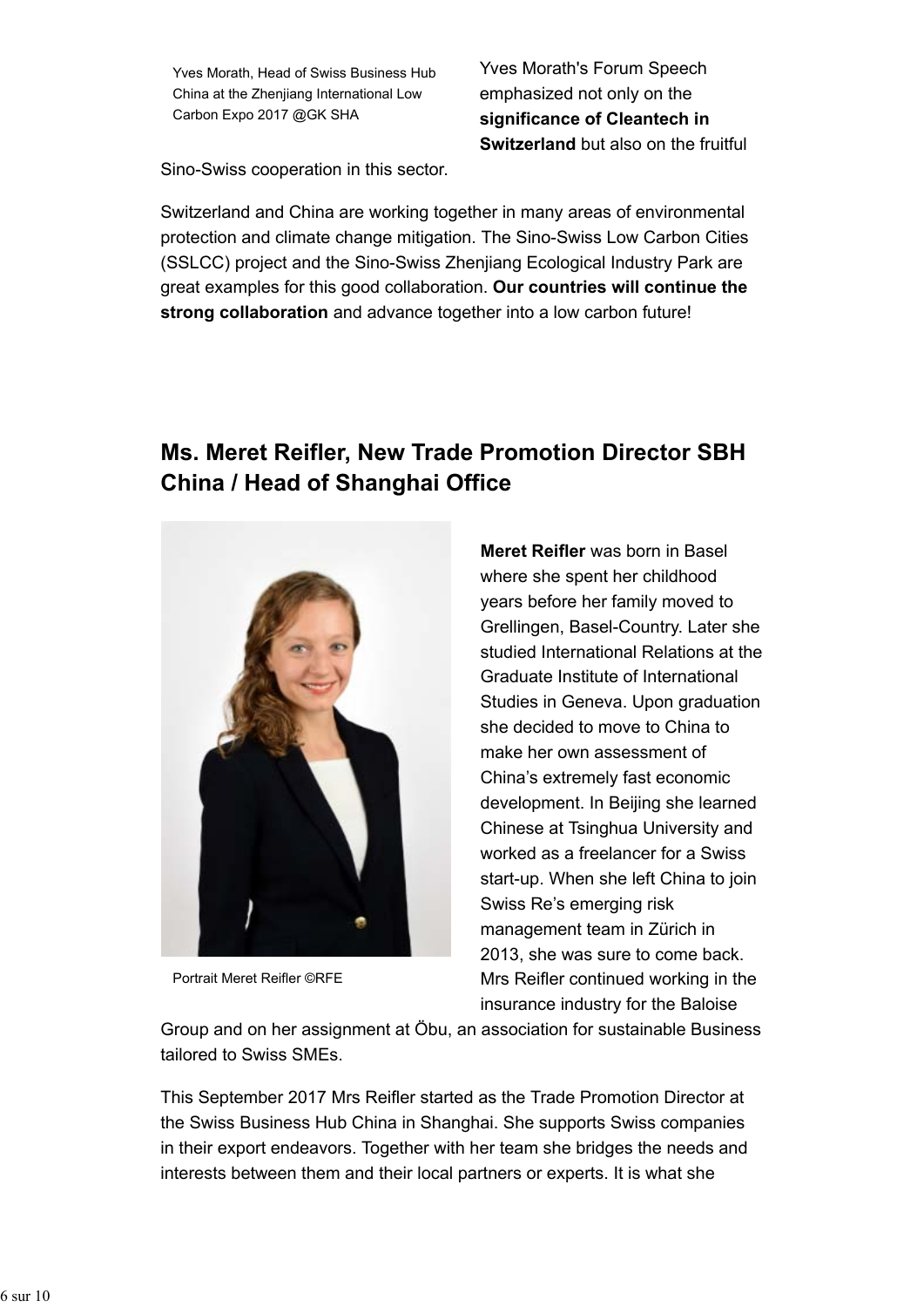Yves Morath, Head of Swiss Business Hub China at the Zhenjiang International Low Carbon Expo 2017 @GK SHA

Yves Morath's Forum Speech emphasized not only on the **significance of Cleantech in Switzerland** but also on the fruitful

Sino-Swiss cooperation in this sector.

Switzerland and China are working together in many areas of environmental protection and climate change mitigation. The Sino-Swiss Low Carbon Cities (SSLCC) project and the Sino-Swiss Zhenjiang Ecological Industry Park are great examples for this good collaboration. **Our countries will continue the strong collaboration** and advance together into a low carbon future!

# **Ms. Meret Reifler, New Trade Promotion Director SBH China / Head of Shanghai Office**



Portrait Meret Reifler ©RFE

**Meret Reifler** was born in Basel where she spent her childhood years before her family moved to Grellingen, Basel-Country. Later she studied International Relations at the Graduate Institute of International Studies in Geneva. Upon graduation she decided to move to China to make her own assessment of China's extremely fast economic development. In Beijing she learned Chinese at Tsinghua University and worked as a freelancer for a Swiss start-up. When she left China to join Swiss Re's emerging risk management team in Zürich in 2013, she was sure to come back. Mrs Reifler continued working in the insurance industry for the Baloise

Group and on her assignment at Öbu, an association for sustainable Business tailored to Swiss SMEs.

This September 2017 Mrs Reifler started as the Trade Promotion Director at the Swiss Business Hub China in Shanghai. She supports Swiss companies in their export endeavors. Together with her team she bridges the needs and interests between them and their local partners or experts. It is what she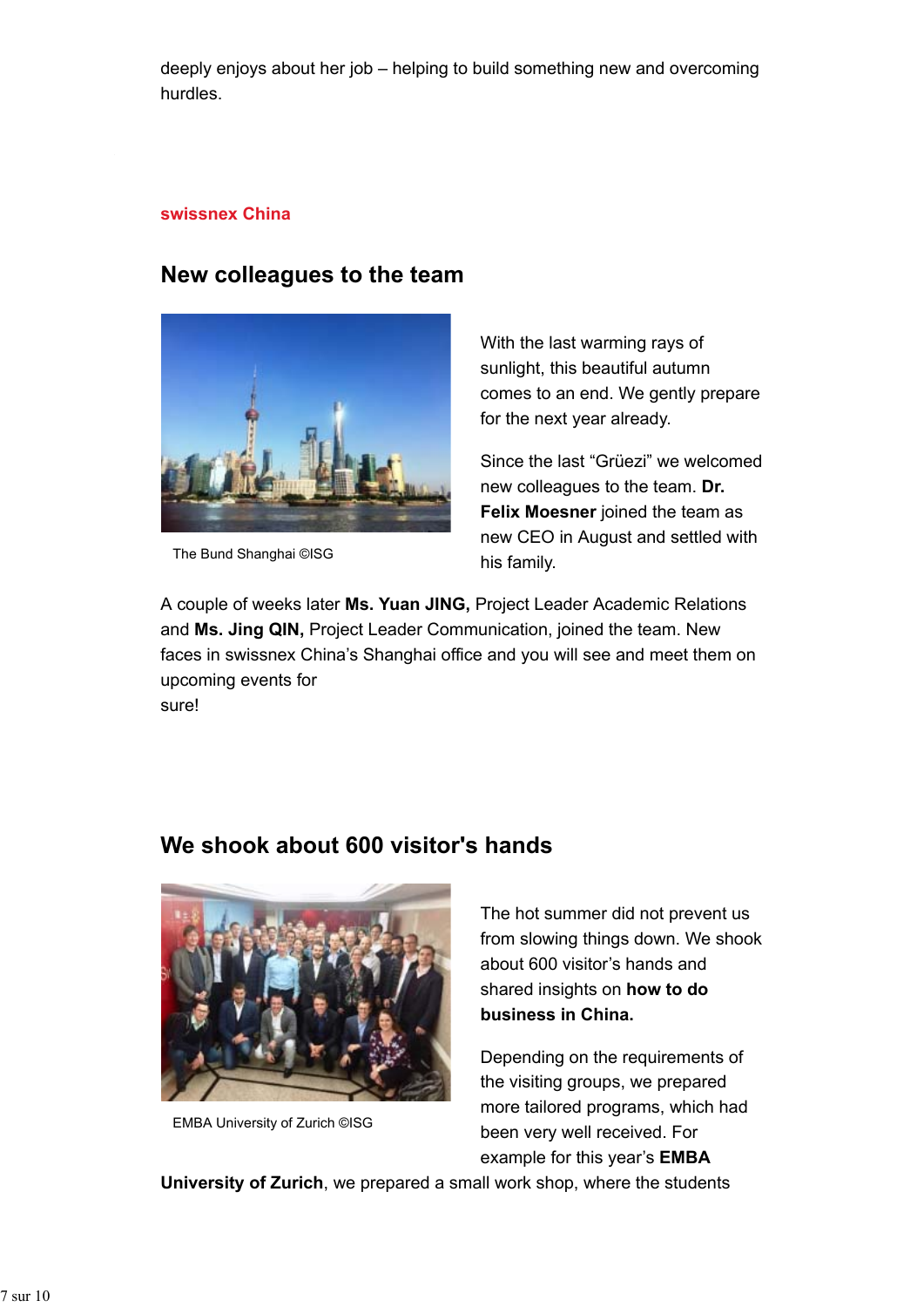deeply enjoys about her job – helping to build something new and overcoming hurdles.

### **swissnex China**

# **New colleagues to the team**



The Bund Shanghai ©ISG

With the last warming rays of sunlight, this beautiful autumn comes to an end. We gently prepare for the next year already.

Since the last "Grüezi" we welcomed new colleagues to the team. **Dr. Felix Moesner** joined the team as new CEO in August and settled with his family.

A couple of weeks later **Ms. Yuan JING,** Project Leader Academic Relations and **Ms. Jing QIN,** Project Leader Communication, joined the team. New faces in swissnex China's Shanghai office and you will see and meet them on upcoming events for sure!

# **We shook about 600 visitor's hands**



EMBA University of Zurich ©ISG

The hot summer did not prevent us from slowing things down. We shook about 600 visitor's hands and shared insights on **how to do business in China.**

Depending on the requirements of the visiting groups, we prepared more tailored programs, which had been very well received. For example for this year's **EMBA**

**University of Zurich**, we prepared a small work shop, where the students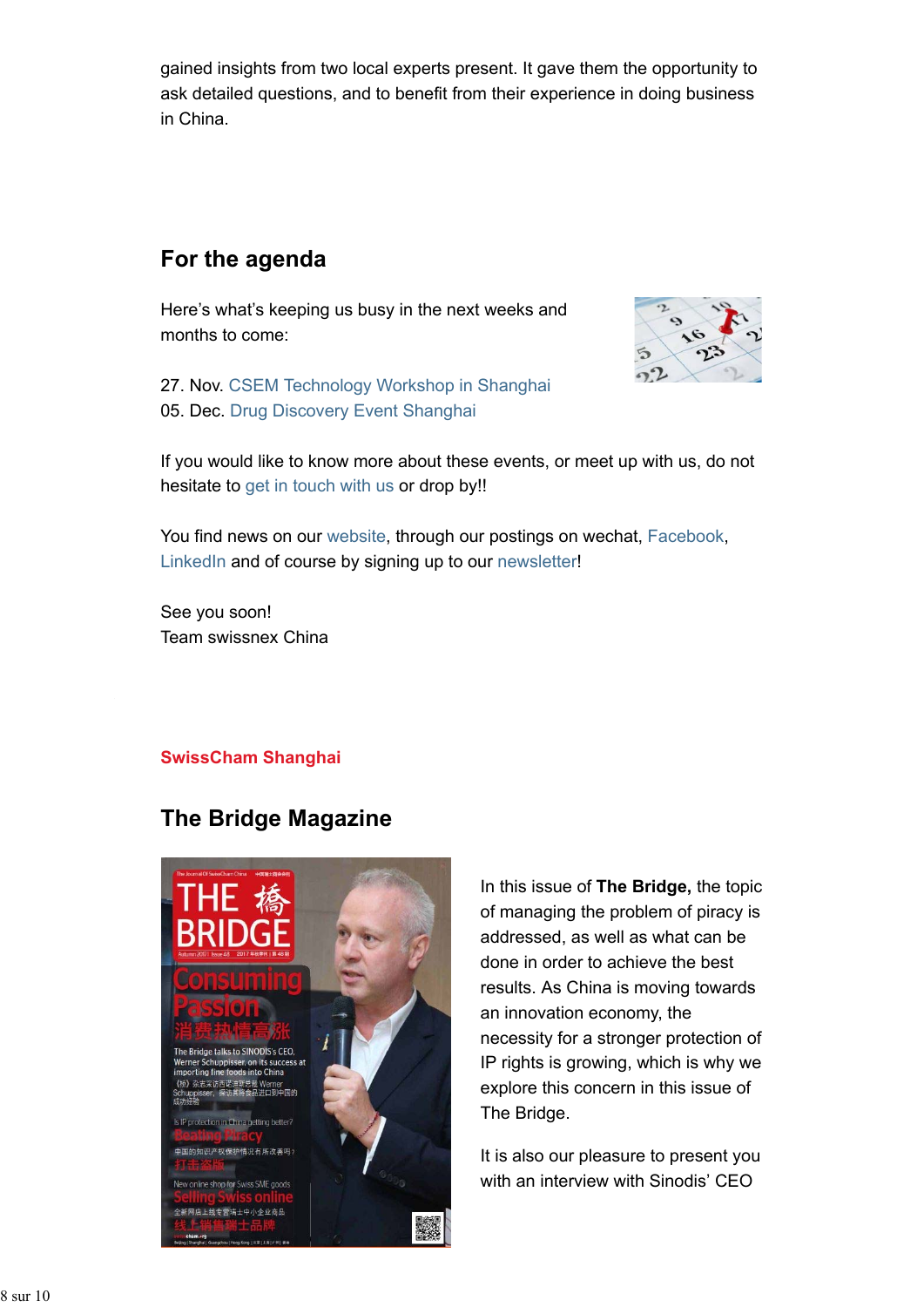gained insights from two local experts present. It gave them the opportunity to ask detailed questions, and to benefit from their experience in doing business in China.

# **For the agenda**

Here's what's keeping us busy in the next weeks and months to come:



27. Nov. CSEM Technology Workshop in Shanghai 05. Dec. Drug Discovery Event Shanghai

If you would like to know more about these events, or meet up with us, do not hesitate to get in touch with us or drop by!!

You find news on our website, through our postings on wechat, Facebook, LinkedIn and of course by signing up to our newsletter!

See you soon! Team swissnex China

### **SwissCham Shanghai**

### **The Bridge Magazine**



In this issue of **The Bridge,** the topic of managing the problem of piracy is addressed, as well as what can be done in order to achieve the best results. As China is moving towards an innovation economy, the necessity for a stronger protection of IP rights is growing, which is why we explore this concern in this issue of The Bridge.

It is also our pleasure to present you with an interview with Sinodis' CEO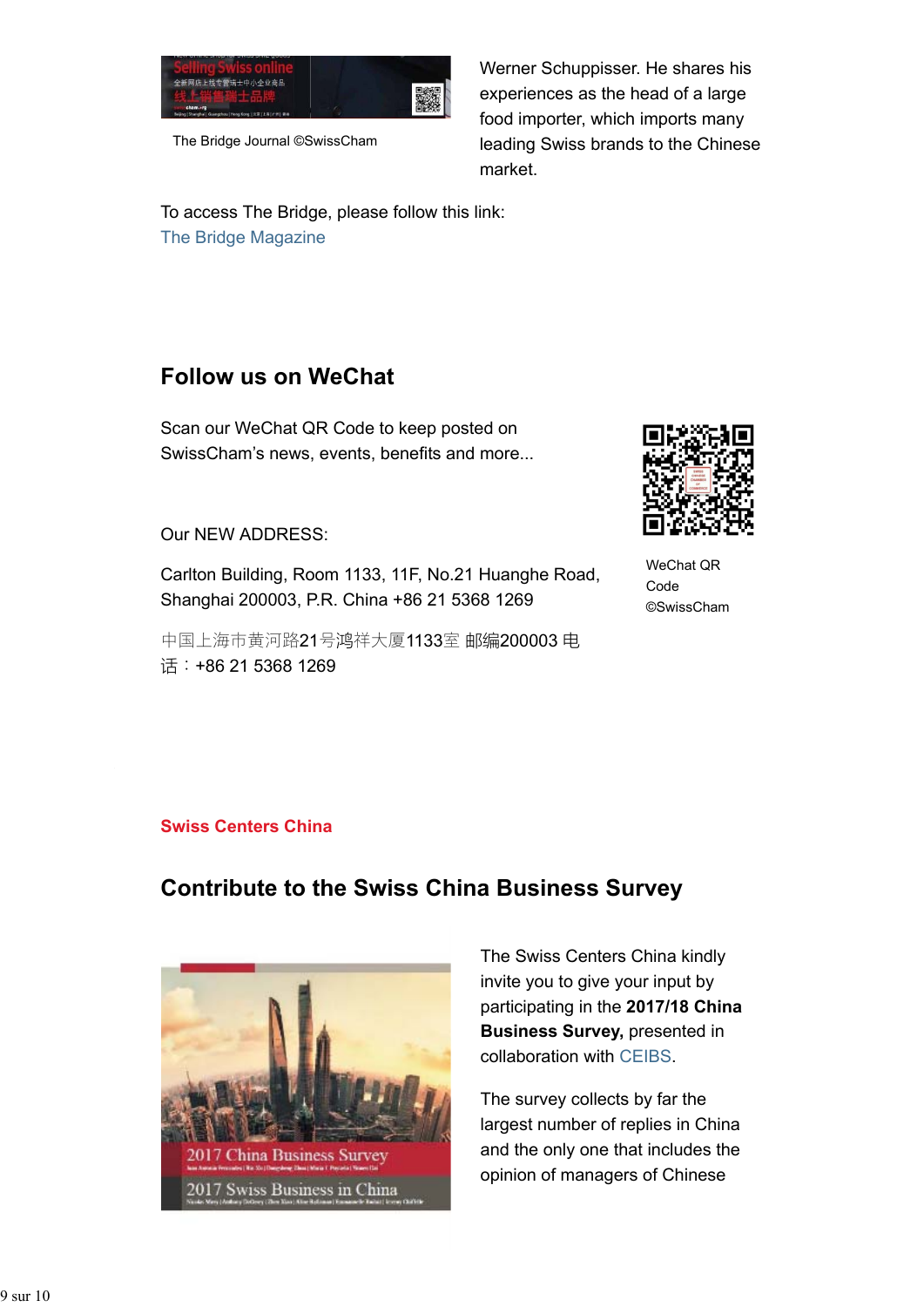

The Bridge Journal ©SwissCham

Werner Schuppisser. He shares his experiences as the head of a large food importer, which imports many leading Swiss brands to the Chinese market.

To access The Bridge, please follow this link: The Bridge Magazine

# **Follow us on WeChat**

Scan our WeChat QR Code to keep posted on SwissCham's news, events, benefits and more...

### Our NEW ADDRESS:

Carlton Building, Room 1133, 11F, No.21 Huanghe Road, Shanghai 200003, P.R. China +86 21 5368 1269

中国上海市黄河路21号鸿祥大厦1133室 邮编200003 电 话:+86 21 5368 1269



WeChat QR Code ©SwissCham

### **Swiss Centers China**

# **Contribute to the Swiss China Business Survey**



The Swiss Centers China kindly invite you to give your input by participating in the **2017/18 China Business Survey,** presented in collaboration with CEIBS.

The survey collects by far the largest number of replies in China and the only one that includes the opinion of managers of Chinese